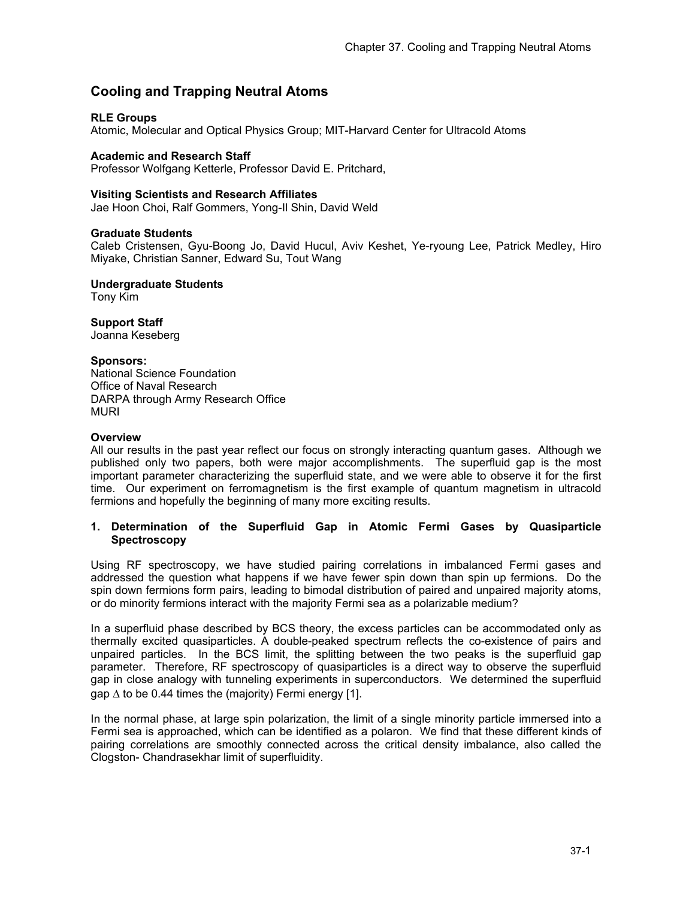# **Cooling and Trapping Neutral Atoms**

# **RLE Groups**

Atomic, Molecular and Optical Physics Group; MIT-Harvard Center for Ultracold Atoms

#### **Academic and Research Staff**

Professor Wolfgang Ketterle, Professor David E. Pritchard,

#### **Visiting Scientists and Research Affiliates**

Jae Hoon Choi, Ralf Gommers, Yong-Il Shin, David Weld

#### **Graduate Students**

Caleb Cristensen, Gyu-Boong Jo, David Hucul, Aviv Keshet, Ye-ryoung Lee, Patrick Medley, Hiro Miyake, Christian Sanner, Edward Su, Tout Wang

**Undergraduate Students**  Tony Kim

# **Support Staff**

Joanna Keseberg

# **Sponsors:**

National Science Foundation Office of Naval Research DARPA through Army Research Office MURI

#### **Overview**

All our results in the past year reflect our focus on strongly interacting quantum gases. Although we published only two papers, both were major accomplishments. The superfluid gap is the most important parameter characterizing the superfluid state, and we were able to observe it for the first time. Our experiment on ferromagnetism is the first example of quantum magnetism in ultracold fermions and hopefully the beginning of many more exciting results.

# **1. Determination of the Superfluid Gap in Atomic Fermi Gases by Quasiparticle Spectroscopy**

Using RF spectroscopy, we have studied pairing correlations in imbalanced Fermi gases and addressed the question what happens if we have fewer spin down than spin up fermions. Do the spin down fermions form pairs, leading to bimodal distribution of paired and unpaired majority atoms, or do minority fermions interact with the majority Fermi sea as a polarizable medium?

In a superfluid phase described by BCS theory, the excess particles can be accommodated only as thermally excited quasiparticles. A double-peaked spectrum reflects the co-existence of pairs and unpaired particles. In the BCS limit, the splitting between the two peaks is the superfluid gap parameter. Therefore, RF spectroscopy of quasiparticles is a direct way to observe the superfluid gap in close analogy with tunneling experiments in superconductors. We determined the superfluid gap  $\Delta$  to be 0.44 times the (majority) Fermi energy [1].

In the normal phase, at large spin polarization, the limit of a single minority particle immersed into a Fermi sea is approached, which can be identified as a polaron. We find that these different kinds of pairing correlations are smoothly connected across the critical density imbalance, also called the Clogston- Chandrasekhar limit of superfluidity.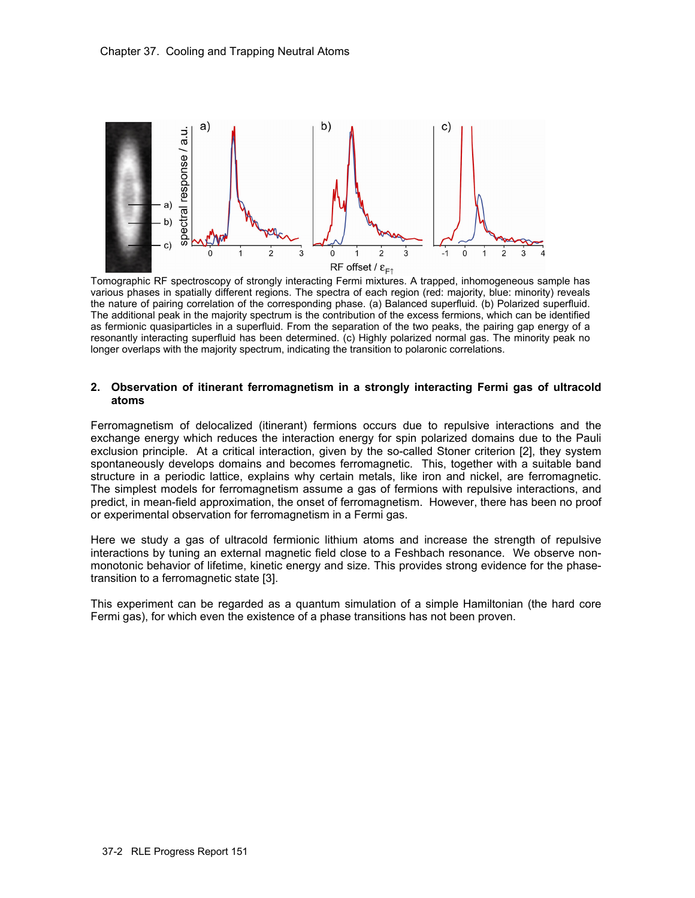

Tomographic RF spectroscopy of strongly interacting Fermi mixtures. A trapped, inhomogeneous sample has various phases in spatially different regions. The spectra of each region (red: majority, blue: minority) reveals the nature of pairing correlation of the corresponding phase. (a) Balanced superfluid. (b) Polarized superfluid. The additional peak in the majority spectrum is the contribution of the excess fermions, which can be identified as fermionic quasiparticles in a superfluid. From the separation of the two peaks, the pairing gap energy of a resonantly interacting superfluid has been determined. (c) Highly polarized normal gas. The minority peak no longer overlaps with the majority spectrum, indicating the transition to polaronic correlations.

# **2. Observation of itinerant ferromagnetism in a strongly interacting Fermi gas of ultracold atoms**

Ferromagnetism of delocalized (itinerant) fermions occurs due to repulsive interactions and the exchange energy which reduces the interaction energy for spin polarized domains due to the Pauli exclusion principle. At a critical interaction, given by the so-called Stoner criterion [2], they system spontaneously develops domains and becomes ferromagnetic. This, together with a suitable band structure in a periodic lattice, explains why certain metals, like iron and nickel, are ferromagnetic. The simplest models for ferromagnetism assume a gas of fermions with repulsive interactions, and predict, in mean-field approximation, the onset of ferromagnetism. However, there has been no proof or experimental observation for ferromagnetism in a Fermi gas.

Here we study a gas of ultracold fermionic lithium atoms and increase the strength of repulsive interactions by tuning an external magnetic field close to a Feshbach resonance. We observe nonmonotonic behavior of lifetime, kinetic energy and size. This provides strong evidence for the phasetransition to a ferromagnetic state [3].

This experiment can be regarded as a quantum simulation of a simple Hamiltonian (the hard core Fermi gas), for which even the existence of a phase transitions has not been proven.